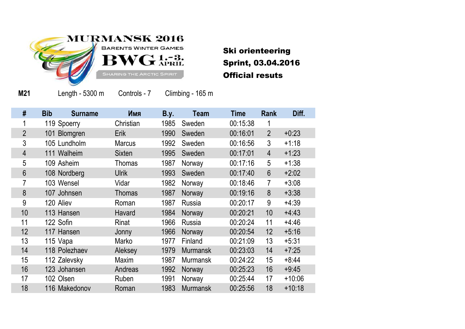

Ski orienteering Sprint, 03.04.2016 Official resuts

**M21**

Length - 5300 m Controls - 7 Climbing - 165 m

| #              | <b>Bib</b><br><b>Surname</b> | Имя           | <b>B.y.</b> | <b>Team</b>     | <b>Time</b> | Rank           | Diff.    |
|----------------|------------------------------|---------------|-------------|-----------------|-------------|----------------|----------|
|                | 119 Spoerry                  | Christian     | 1985        | Sweden          | 00:15:38    | 1              |          |
| $\overline{2}$ | 101 Blomgren                 | Erik          | 1990        | Sweden          | 00:16:01    | $\overline{2}$ | $+0:23$  |
| 3              | 105 Lundholm                 | <b>Marcus</b> | 1992        | Sweden          | 00:16:56    | 3              | $+1:18$  |
| $\overline{4}$ | 111 Walheim                  | <b>Sixten</b> | 1995        | Sweden          | 00:17:01    | $\overline{4}$ | $+1:23$  |
| 5              | 109 Asheim                   | <b>Thomas</b> | 1987        | Norway          | 00:17:16    | 5              | $+1:38$  |
| 6              | 108 Nordberg                 | <b>Ulrik</b>  | 1993        | Sweden          | 00:17:40    | 6              | $+2:02$  |
| 7              | 103 Wensel                   | Vidar         | 1982        | Norway          | 00:18:46    | 7              | $+3:08$  |
| 8              | 107 Johnsen                  | <b>Thomas</b> | 1987        | Norway          | 00:19:16    | 8              | $+3:38$  |
| 9              | 120 Aliev                    | Roman         | 1987        | Russia          | 00:20:17    | 9              | $+4:39$  |
| 10             | 113 Hansen                   | Havard        | 1984        | Norway          | 00:20:21    | 10             | $+4:43$  |
| 11             | 122 Sofin                    | Rinat         | 1966        | <b>Russia</b>   | 00:20:24    | 11             | $+4:46$  |
| 12             | 117 Hansen                   | Jonny         | 1966        | Norway          | 00:20:54    | 12             | $+5:16$  |
| 13             | 115 Vapa                     | Marko         | 1977        | Finland         | 00:21:09    | 13             | $+5:31$  |
| 14             | 118 Polezhaev                | Aleksey       | 1979        | <b>Murmansk</b> | 00:23:03    | 14             | $+7:25$  |
| 15             | 112 Zalevsky                 | Maxim         | 1987        | <b>Murmansk</b> | 00:24:22    | 15             | $+8:44$  |
| 16             | 123 Johansen                 | Andreas       | 1992        | Norway          | 00:25:23    | 16             | $+9:45$  |
| 17             | 102 Olsen                    | Ruben         | 1991        | Norway          | 00:25:44    | 17             | $+10:06$ |
| 18             | 116 Makedonov                | Roman         | 1983        | <b>Murmansk</b> | 00:25:56    | 18             | $+10:18$ |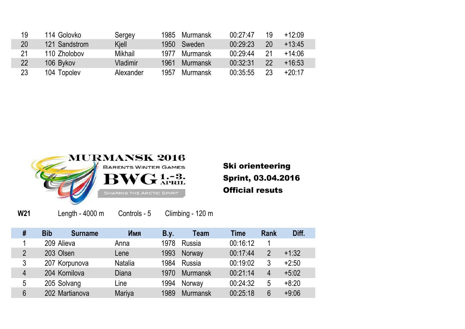| 19 | 114 Golovko   | Sergey    | 1985 | Murmansk | 00:27:47 | 19 | $+12:09$ |
|----|---------------|-----------|------|----------|----------|----|----------|
| 20 | 121 Sandstrom | Kjell     | 1950 | Sweden   | 00:29:23 | 20 | $+13:45$ |
| 21 | 110 Zholobov  | Mikhail   | 1977 | Murmansk | 00:29:44 | 21 | $+14:06$ |
| 22 | 106 Bykov     | Vladimir  | 1961 | Murmansk | 00:32:31 | 22 | $+16:53$ |
| 23 | 104 Topolev   | Alexander | 1957 | Murmansk | 00:35:55 | 23 | $+20:17$ |



Ski orienteering Sprint, 03.04.2016 Official resuts

**W21**

Length - 4000 m Controls - 5 Climbing - 120 m

| # | <b>Bib</b>     | <b>Surname</b> | Имя            | <b>B.y.</b> | Team            | Time     | <b>Rank</b>    | Diff.   |
|---|----------------|----------------|----------------|-------------|-----------------|----------|----------------|---------|
|   | 209 Alieva     |                | Anna           | 1978        | <b>Russia</b>   | 00:16:12 |                |         |
| 2 | 203 Olsen      |                | Lene           | 1993        | Norway          | 00:17:44 | $\overline{2}$ | $+1:32$ |
| 3 | 207 Korpunova  |                | <b>Natalia</b> | 1984        | Russia          | 00:19:02 | 3              | $+2:50$ |
| 4 | 204 Kornilova  |                | Diana          | 1970        | <b>Murmansk</b> | 00:21:14 | 4              | $+5:02$ |
| 5 | 205 Solvang    |                | Line           | 1994        | Norway          | 00:24:32 | 5              | $+8:20$ |
| 6 | 202 Martianova |                | Mariya         | 1989        | <b>Murmansk</b> | 00:25:18 | 6              | $+9:06$ |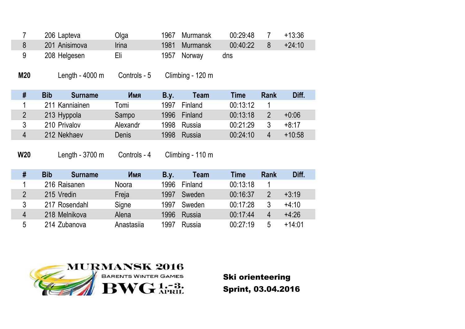| 206 Lapteva   | Olga  | 1967 Murmansk | 00:29:48 | $+13:36$ |
|---------------|-------|---------------|----------|----------|
| 201 Anisimova | Irina | 1981 Murmansk | 00:40:22 | $+24:10$ |
| 208 Helgesen  | Eli   | 1957 Norway   | dns      |          |

**M20** Length - 4000 m Controls - 5 Climbing - 120 m

| # | <b>Bib</b><br><b>Surname</b> | Имя      | B.y. | <b>Team</b> | Time     | <b>Rank</b> | Diff.    |
|---|------------------------------|----------|------|-------------|----------|-------------|----------|
|   | 211 Kanniainen               | Tomi     | 1997 | Finland     | 00:13:12 |             |          |
|   | 213 Hyppola                  | Sampo    | 1996 | Finland     | 00:13:18 | 2           | $+0:06$  |
| 3 | 210 Privalov                 | Alexandr | 1998 | Russia      | 00:21:29 | ર           | +8:17    |
| 4 | 212 Nekhaev                  | Denis    | 1998 | Russia      | 00:24:10 | 4           | $+10:58$ |

**W20**

Length - 3700 m Controls - 4 Climbing - 110 m

| #              | <b>Bib</b>    | <b>Surname</b> | Имя          | B.v. | Team    | Time     | <b>Rank</b> | Diff.    |
|----------------|---------------|----------------|--------------|------|---------|----------|-------------|----------|
|                | 216 Raisanen  |                | <b>Noora</b> | 1996 | Finland | 00:13:18 |             |          |
| $\overline{2}$ | 215 Vredin    |                | Freja        | 1997 | Sweden  | 00:16:37 | 2           | $+3:19$  |
| 3              | 217 Rosendahl |                | Signe        | 1997 | Sweden  | 00:17:28 | 3           | $+4:10$  |
| 4              | 218 Melnikova |                | Alena        | 1996 | Russia  | 00:17:44 | 4           | $+4:26$  |
| 5              | 214 Zubanova  |                | Anastasija   | 1997 | Russia  | 00:27:19 | 5           | $+14:01$ |



Ski orienteering Sprint, 03.04.2016